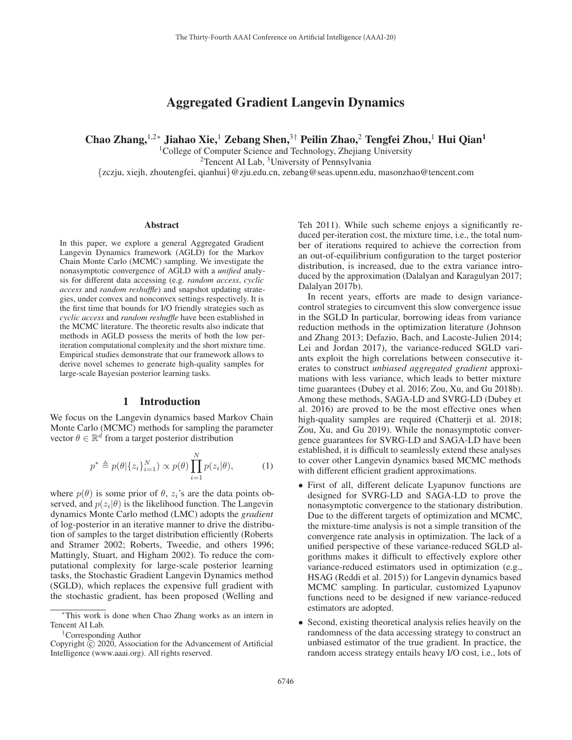# Aggregated Gradient Langevin Dynamics

Chao Zhang,<sup>1,2∗</sup> Jiahao Xie,<sup>1</sup> Zebang Shen,<sup>3†</sup> Peilin Zhao,<sup>2</sup> Tengfei Zhou,<sup>1</sup> Hui Qian<sup>1</sup>

<sup>1</sup>College of Computer Science and Technology, Zhejiang University 2Tencent AI Lab, 3University of Pennsylvania {zczju, xiejh, zhoutengfei, qianhui}@zju.edu.cn, zebang@seas.upenn.edu, masonzhao@tencent.com

#### Abstract

In this paper, we explore a general Aggregated Gradient Langevin Dynamics framework (AGLD) for the Markov Chain Monte Carlo (MCMC) sampling. We investigate the nonasymptotic convergence of AGLD with a *unified* analysis for different data accessing (e.g. *random access*, *cyclic access* and *random reshuffle*) and snapshot updating strategies, under convex and nonconvex settings respectively. It is the first time that bounds for I/O friendly strategies such as *cyclic access* and *random reshuffle* have been established in the MCMC literature. The theoretic results also indicate that methods in AGLD possess the merits of both the low periteration computational complexity and the short mixture time. Empirical studies demonstrate that our framework allows to derive novel schemes to generate high-quality samples for large-scale Bayesian posterior learning tasks.

## 1 Introduction

We focus on the Langevin dynamics based Markov Chain Monte Carlo (MCMC) methods for sampling the parameter vector  $\theta \in \mathbb{R}^d$  from a target posterior distribution

$$
p^* \triangleq p(\theta | \{z_i\}_{i=1}^N) \propto p(\theta) \prod_{i=1}^N p(z_i | \theta), \tag{1}
$$

where  $p(\theta)$  is some prior of  $\theta$ ,  $z_i$ 's are the data points observed, and  $p(z_i|\theta)$  is the likelihood function. The Langevin dynamics Monte Carlo method (LMC) adopts the *gradient* of log-posterior in an iterative manner to drive the distribution of samples to the target distribution efficiently (Roberts and Stramer 2002; Roberts, Tweedie, and others 1996; Mattingly, Stuart, and Higham 2002). To reduce the computational complexity for large-scale posterior learning tasks, the Stochastic Gradient Langevin Dynamics method (SGLD), which replaces the expensive full gradient with the stochastic gradient, has been proposed (Welling and

Teh 2011). While such scheme enjoys a significantly reduced per-iteration cost, the mixture time, i.e., the total number of iterations required to achieve the correction from an out-of-equilibrium configuration to the target posterior distribution, is increased, due to the extra variance introduced by the approximation (Dalalyan and Karagulyan 2017; Dalalyan 2017b).

In recent years, efforts are made to design variancecontrol strategies to circumvent this slow convergence issue in the SGLD In particular, borrowing ideas from variance reduction methods in the optimization literature (Johnson and Zhang 2013; Defazio, Bach, and Lacoste-Julien 2014; Lei and Jordan 2017), the variance-reduced SGLD variants exploit the high correlations between consecutive iterates to construct *unbiased aggregated gradient* approximations with less variance, which leads to better mixture time guarantees (Dubey et al. 2016; Zou, Xu, and Gu 2018b). Among these methods, SAGA-LD and SVRG-LD (Dubey et al. 2016) are proved to be the most effective ones when high-quality samples are required (Chatterji et al. 2018; Zou, Xu, and Gu 2019). While the nonasymptotic convergence guarantees for SVRG-LD and SAGA-LD have been established, it is difficult to seamlessly extend these analyses to cover other Langevin dynamics based MCMC methods with different efficient gradient approximations.

- First of all, different delicate Lyapunov functions are designed for SVRG-LD and SAGA-LD to prove the nonasymptotic convergence to the stationary distribution. Due to the different targets of optimization and MCMC, the mixture-time analysis is not a simple transition of the convergence rate analysis in optimization. The lack of a unified perspective of these variance-reduced SGLD algorithms makes it difficult to effectively explore other variance-reduced estimators used in optimization (e.g., HSAG (Reddi et al. 2015)) for Langevin dynamics based MCMC sampling. In particular, customized Lyapunov functions need to be designed if new variance-reduced estimators are adopted.
- Second, existing theoretical analysis relies heavily on the randomness of the data accessing strategy to construct an unbiased estimator of the true gradient. In practice, the random access strategy entails heavy I/O cost, i.e., lots of

<sup>∗</sup>This work is done when Chao Zhang works as an intern in Tencent AI Lab.

<sup>†</sup>Corresponding Author

Copyright  $\odot$  2020, Association for the Advancement of Artificial Intelligence (www.aaai.org). All rights reserved.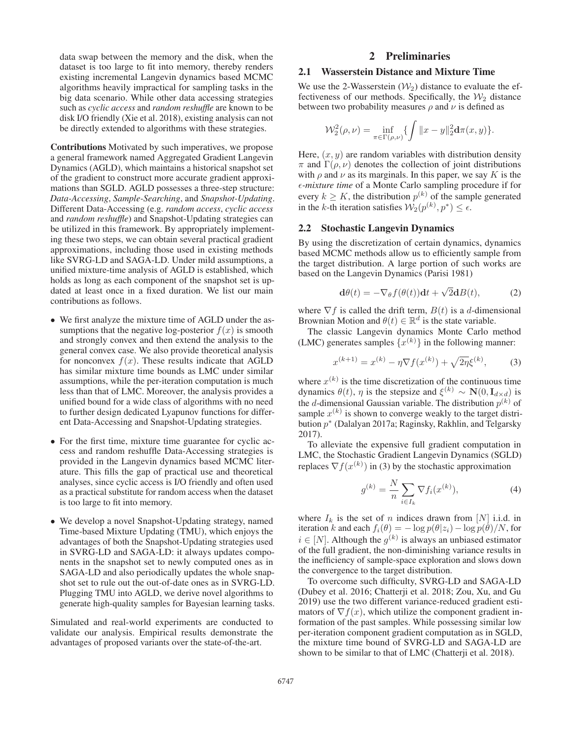data swap between the memory and the disk, when the dataset is too large to fit into memory, thereby renders existing incremental Langevin dynamics based MCMC algorithms heavily impractical for sampling tasks in the big data scenario. While other data accessing strategies such as *cyclic access* and *random reshuffle* are known to be disk I/O friendly (Xie et al. 2018), existing analysis can not be directly extended to algorithms with these strategies.

Contributions Motivated by such imperatives, we propose a general framework named Aggregated Gradient Langevin Dynamics (AGLD), which maintains a historical snapshot set of the gradient to construct more accurate gradient approximations than SGLD. AGLD possesses a three-step structure: *Data-Accessing*, *Sample-Searching*, and *Snapshot-Updating*. Different Data-Accessing (e.g. *random access*, *cyclic access* and *random reshuffle*) and Snapshot-Updating strategies can be utilized in this framework. By appropriately implementing these two steps, we can obtain several practical gradient approximations, including those used in existing methods like SVRG-LD and SAGA-LD. Under mild assumptions, a unified mixture-time analysis of AGLD is established, which holds as long as each component of the snapshot set is updated at least once in a fixed duration. We list our main contributions as follows.

- We first analyze the mixture time of AGLD under the assumptions that the negative log-posterior  $f(x)$  is smooth and strongly convex and then extend the analysis to the general convex case. We also provide theoretical analysis for nonconvex  $f(x)$ . These results indicate that AGLD has similar mixture time bounds as LMC under similar assumptions, while the per-iteration computation is much less than that of LMC. Moreover, the analysis provides a unified bound for a wide class of algorithms with no need to further design dedicated Lyapunov functions for different Data-Accessing and Snapshot-Updating strategies.
- For the first time, mixture time guarantee for cyclic access and random reshuffle Data-Accessing strategies is provided in the Langevin dynamics based MCMC literature. This fills the gap of practical use and theoretical analyses, since cyclic access is I/O friendly and often used as a practical substitute for random access when the dataset is too large to fit into memory.
- We develop a novel Snapshot-Updating strategy, named Time-based Mixture Updating (TMU), which enjoys the advantages of both the Snapshot-Updating strategies used in SVRG-LD and SAGA-LD: it always updates components in the snapshot set to newly computed ones as in SAGA-LD and also periodically updates the whole snapshot set to rule out the out-of-date ones as in SVRG-LD. Plugging TMU into AGLD, we derive novel algorithms to generate high-quality samples for Bayesian learning tasks.

Simulated and real-world experiments are conducted to validate our analysis. Empirical results demonstrate the advantages of proposed variants over the state-of-the-art.

## 2 Preliminaries

## 2.1 Wasserstein Distance and Mixture Time

We use the 2-Wasserstein  $(W_2)$  distance to evaluate the effectiveness of our methods. Specifically, the  $\mathcal{W}_2$  distance between two probability measures  $\rho$  and  $\nu$  is defined as

$$
\mathcal{W}_2^2(\rho,\nu) = \inf_{\pi \in \Gamma(\rho,\nu)} \{ \int ||x - y||_2^2 \mathbf{d}\pi(x,y) \}.
$$

Here,  $(x, y)$  are random variables with distribution density  $\pi$  and  $\Gamma(\rho, \nu)$  denotes the collection of joint distributions with  $\rho$  and  $\nu$  as its marginals. In this paper, we say K is the *-mixture time* of a Monte Carlo sampling procedure if for every  $k \geq K$ , the distribution  $p^{(k)}$  of the sample generated in the k-th iteration satisfies  $\mathcal{W}_2(p^{(k)}, p^*) \leq \epsilon$ .

## 2.2 Stochastic Langevin Dynamics

By using the discretization of certain dynamics, dynamics based MCMC methods allow us to efficiently sample from the target distribution. A large portion of such works are based on the Langevin Dynamics (Parisi 1981)

$$
\mathbf{d}\theta(t) = -\nabla_{\theta} f(\theta(t)) \mathbf{d}t + \sqrt{2}\mathbf{d}B(t),\tag{2}
$$

where  $\nabla f$  is called the drift term,  $B(t)$  is a d-dimensional Brownian Motion and  $\theta(t) \in \mathbb{R}^d$  is the state variable Brownian Motion and  $\theta(t) \in \mathbb{R}^d$  is the state variable.<br>The classic Langevin dynamics Monte Carlo n

The classic Langevin dynamics Monte Carlo method (LMC) generates samples  $\{x^{(k)}\}$  in the following manner:

$$
x^{(k+1)} = x^{(k)} - \eta \nabla f(x^{(k)}) + \sqrt{2\eta} \xi^{(k)},
$$
 (3)

where  $x^{(k)}$  is the time discretization of the continuous time dynamics  $\theta(t)$ ,  $\eta$  is the stepsize and  $\xi^{(k)} \sim \mathbf{N}(0, \mathbf{I}_{d \times d})$  is the d-dimensional Gaussian variable. The distribution  $p^{(k)}$  of sample  $x^{(k)}$  is shown to converge weakly to the target distribution p<sup>∗</sup> (Dalalyan 2017a; Raginsky, Rakhlin, and Telgarsky 2017).

To alleviate the expensive full gradient computation in LMC, the Stochastic Gradient Langevin Dynamics (SGLD) replaces  $\nabla f(x^{(k)})$  in (3) by the stochastic approximation

$$
g^{(k)} = \frac{N}{n} \sum_{i \in I_k} \nabla f_i(x^{(k)}),
$$
 (4)

where  $I_k$  is the set of n indices drawn from [N] i.i.d. in<br>iteration k and each  $f_i(\theta) = -\log n(\theta | z_i) - \log n(\theta) / N$  for iteration k and each  $f_i(\theta) = -\log p(\theta|z_i) - \log p(\theta)/N$ , for  $i \in [N]$ . Although the  $q(k)$  is always an unbiased estimator  $i \in [N]$ . Although the  $g^{(k)}$  is always an unbiased estimator of the full gradient, the non-diminishing variance results in the inefficiency of sample-space exploration and slows down the convergence to the target distribution.

To overcome such difficulty, SVRG-LD and SAGA-LD (Dubey et al. 2016; Chatterji et al. 2018; Zou, Xu, and Gu 2019) use the two different variance-reduced gradient estimators of  $\nabla f(x)$ , which utilize the component gradient information of the past samples. While possessing similar low per-iteration component gradient computation as in SGLD, the mixture time bound of SVRG-LD and SAGA-LD are shown to be similar to that of LMC (Chatterji et al. 2018).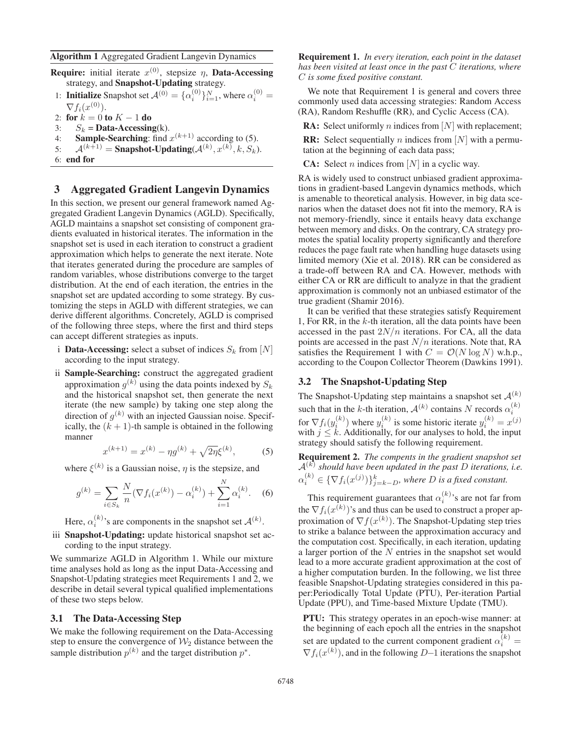- **Require:** initial iterate  $x^{(0)}$ , stepsize  $\eta$ , **Data-Accessing** strategy, and **Snapshot-Updating** strategy.
- 1: **Initialize** Snapshot set  $\mathcal{A}^{(0)} = {\alpha_i^{(0)}}_{i=1}^N$ , where  $\alpha_i^{(0)} = \nabla f_i(\alpha_i^{(0)})$  $\nabla f_i(x^{(0)})$ .
- 2: for  $k = 0$  to  $K 1$  do<br>3:  $S_k = \textbf{Data-Accessin}$
- $S_k$  = Data-Accessing(k).
- 4: Sample-Searching: find  $x^{(k+1)}$  according to (5).
- 5:  $\mathcal{A}^{(k+1)} =$  Snapshot-Updating  $(\mathcal{A}^{(k)}, x^{(k)}, k, S_k)$ .<br>6: end for
- 6: end for

## 3 Aggregated Gradient Langevin Dynamics

In this section, we present our general framework named Aggregated Gradient Langevin Dynamics (AGLD). Specifically, AGLD maintains a snapshot set consisting of component gradients evaluated in historical iterates. The information in the snapshot set is used in each iteration to construct a gradient approximation which helps to generate the next iterate. Note that iterates generated during the procedure are samples of random variables, whose distributions converge to the target distribution. At the end of each iteration, the entries in the snapshot set are updated according to some strategy. By customizing the steps in AGLD with different strategies, we can derive different algorithms. Concretely, AGLD is comprised of the following three steps, where the first and third steps can accept different strategies as inputs.

- i **Data-Accessing:** select a subset of indices  $S_k$  from [N] according to the input strategy.
- ii Sample-Searching: construct the aggregated gradient approximation  $g^{(k)}$  using the data points indexed by  $S_k$ and the historical snapshot set, then generate the next iterate (the new sample) by taking one step along the direction of  $g^{(k)}$  with an injected Gaussian noise. Specifically, the  $(k + 1)$ -th sample is obtained in the following manner

$$
x^{(k+1)} = x^{(k)} - \eta g^{(k)} + \sqrt{2\eta} \xi^{(k)},
$$
 (5)

where  $\xi^{(k)}$  is a Gaussian noise,  $\eta$  is the stepsize, and

$$
g^{(k)} = \sum_{i \in S_k} \frac{N}{n} (\nabla f_i(x^{(k)}) - \alpha_i^{(k)}) + \sum_{i=1}^N \alpha_i^{(k)}.
$$
 (6)

Here,  $\alpha_i^{(k)}$ 's are components in the snapshot set  $\mathcal{A}^{(k)}$ .

iii Snapshot-Updating: update historical snapshot set according to the input strategy.

We summarize AGLD in Algorithm 1. While our mixture time analyses hold as long as the input Data-Accessing and Snapshot-Updating strategies meet Requirements 1 and 2, we describe in detail several typical qualified implementations of these two steps below.

#### 3.1 The Data-Accessing Step

We make the following requirement on the Data-Accessing step to ensure the convergence of  $\mathcal{W}_2$  distance between the sample distribution  $p^{(k)}$  and the target distribution  $p^*$ .

Requirement 1. *In every iteration, each point in the dataset has been visited at least once in the past* C *iterations, where* C *is some fixed positive constant.*

We note that Requirement 1 is general and covers three commonly used data accessing strategies: Random Access (RA), Random Reshuffle (RR), and Cyclic Access (CA).

**RA:** Select uniformly *n* indices from [*N*] with replacement;

**RR:** Select sequentially *n* indices from [*N*] with a permutation at the beginning of each data pass;

**CA:** Select *n* indices from  $[N]$  in a cyclic way.

RA is widely used to construct unbiased gradient approximations in gradient-based Langevin dynamics methods, which is amenable to theoretical analysis. However, in big data scenarios when the dataset does not fit into the memory, RA is not memory-friendly, since it entails heavy data exchange between memory and disks. On the contrary, CA strategy promotes the spatial locality property significantly and therefore reduces the page fault rate when handling huge datasets using limited memory (Xie et al. 2018). RR can be considered as a trade-off between RA and CA. However, methods with either CA or RR are difficult to analyze in that the gradient approximation is commonly not an unbiased estimator of the true gradient (Shamir 2016).

It can be verified that these strategies satisfy Requirement 1, For RR, in the  $k$ -th iteration, all the data points have been accessed in the past  $2N/n$  iterations. For CA, all the data points are accessed in the past  $N/n$  iterations. Note that, RA satisfies the Requirement 1 with  $C = \mathcal{O}(N \log N)$  w.h.p., according to the Coupon Collector Theorem (Dawkins 1991).

#### 3.2 The Snapshot-Updating Step

The Snapshot-Updating step maintains a snapshot set  $\mathcal{A}^{(k)}$ such that in the k-th iteration,  $\mathcal{A}^{(k)}$  contains N records  $\alpha_i^{(k)}$ for  $\nabla f_i(y_i^{(k)})$  where  $y_i^{(k)}$  is some historic iterate  $y_i^{(k)} = x^{(j)}$  with  $j \le k$ . Additionally, for our analyses to hold, the input strategy should satisfy the following requirement.

Requirement 2. *The compents in the gradient snapshot set*  $\mathcal{A}^{(k)}$  *should have been updated in the past D iterations, i.e.*  $\alpha_i^{(k)} \in {\{\nabla f_i(x^{(j)})\}}_{j=k-D}^k$ , where D is a fixed constant.

This requirement guarantees that  $\alpha_i^{(k)}$ 's are not far from the  $\nabla f_i(x^{(k)})$ 's and thus can be used to construct a proper approximation of  $\nabla f(x^{(k)})$ . The Snapshot-Undating step tries proximation of  $\nabla f(x^{(k)})$ . The Snapshot-Updating step tries<br>to strike a balance between the approximation accuracy and to strike a balance between the approximation accuracy and the computation cost. Specifically, in each iteration, updating a larger portion of the N entries in the snapshot set would lead to a more accurate gradient approximation at the cost of a higher computation burden. In the following, we list three feasible Snapshot-Updating strategies considered in this paper:Periodically Total Update (PTU), Per-iteration Partial Update (PPU), and Time-based Mixture Update (TMU).

PTU: This strategy operates in an epoch-wise manner: at the beginning of each epoch all the entries in the snapshot set are updated to the current component gradient  $\alpha_i^{(k)}$  = Set are updated to the current component gradient  $\alpha_i = \nabla f_i(x^{(k)})$ , and in the following D–1 iterations the snapshot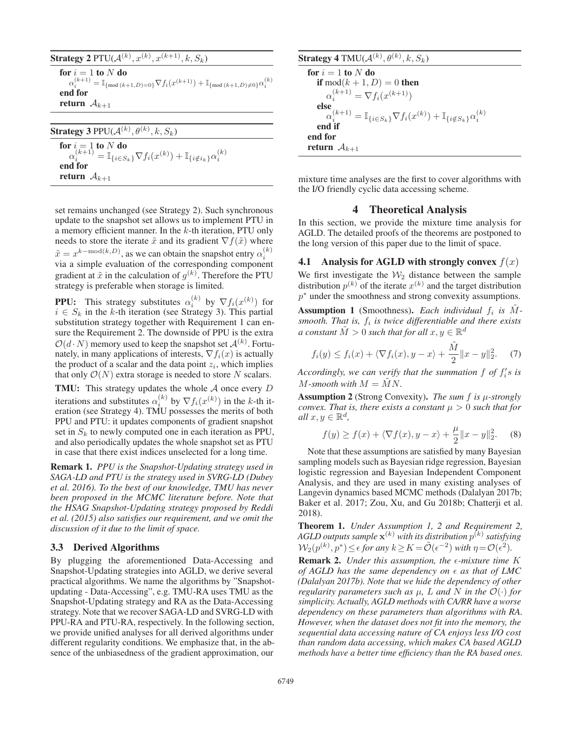**Strategy 2** PTU( $\mathcal{A}^{(k)}$ ,  $x^{(k)}$ ,  $x^{(k+1)}$ ,  $k$ ,  $S_k$ )

for  $i = 1$  to N do<br>  $\alpha_i^{(k+1)} = \mathbb{I}_{\{\text{mod } (k+1, D) = 0\}} \nabla f_i(x^{(k+1)}) + \mathbb{I}_{\{\text{mod } (k+1, D) \neq 0\}} \alpha_i^{(k)}$ end for return  $A_{k+1}$ 

| <b>Strategy 3</b> PPU( $\mathcal{A}^{(k)}$ , $\theta^{(k)}$ , $k$ , $S_k$ )                                                                                                                       |  |
|---------------------------------------------------------------------------------------------------------------------------------------------------------------------------------------------------|--|
| $\begin{array}{l} \textbf{for } i=1 \textbf{ to } N \textbf{ do} \\ \alpha_i^{(k+1)} = \mathbb{I}_{\{i \in S_k\}} \nabla f_i(x^{(k)}) + \mathbb{I}_{\{i \notin i_k\}} \alpha_i^{(k)} \end{array}$ |  |
| end for<br><b>return</b> $A_{k+1}$                                                                                                                                                                |  |

set remains unchanged (see Strategy 2). Such synchronous update to the snapshot set allows us to implement PTU in a memory efficient manner. In the k-th iteration, PTU only needs to store the iterate  $\tilde{x}$  and its gradient  $\nabla f(\tilde{x})$  where  $\tilde{x} = x^{k-\text{mod}(k,D)}$ , as we can obtain the snapshot entry  $\alpha_i^{(k)}$  via a simple evaluation of the corresponding component via a simple evaluation of the corresponding component gradient at  $\tilde{x}$  in the calculation of  $g^{(k)}$ . Therefore the PTU strategy is preferable when storage is limited strategy is preferable when storage is limited.

**PPU:** This strategy substitutes  $\alpha_i^{(k)}$  by  $\nabla f_i(x^{(k)})$  for  $i \in S_k$  in the k-th iteration (see Strategy 3) This partial  $i \in S_k$  in the k-th iteration (see Strategy 3). This partial substitution strategy together with Requirement 1 can ensure the Requirement 2. The downside of PPU is the extra  $\mathcal{O}(d \cdot N)$  memory used to keep the snapshot set  $\mathcal{A}^{(k)}$ . Fortu-<br>nately in many applications of interests  $\nabla f(x)$  is actually nately, in many applications of interests,  $\nabla f_i(x)$  is actually the product of a scalar and the data point  $z_i$ , which implies that only  $\mathcal{O}(N)$  extra storage is needed to store N scalars.

**TMU:** This strategy updates the whole  $A$  once every  $D$ iterations and substitutes  $\alpha_i^{(k)}$  by  $\nabla f_i(x^{(k)})$  in the k-th iteration (see Strategy 4) TMU possesses the merits of both eration (see Strategy 4). TMU possesses the merits of both PPU and PTU: it updates components of gradient snapshot set in  $S_k$  to newly computed one in each iteration as PPU, and also periodically updates the whole snapshot set as PTU in case that there exist indices unselected for a long time.

Remark 1. *PPU is the Snapshot-Updating strategy used in SAGA-LD and PTU is the strategy used in SVRG-LD (Dubey et al. 2016). To the best of our knowledge, TMU has never been proposed in the MCMC literature before. Note that the HSAG Snapshot-Updating strategy proposed by Reddi et al. (2015) also satisfies our requirement, and we omit the discussion of it due to the limit of space.*

#### 3.3 Derived Algorithms

By plugging the aforementioned Data-Accessing and Snapshot-Updating strategies into AGLD, we derive several practical algorithms. We name the algorithms by "Snapshotupdating - Data-Accessing", e.g. TMU-RA uses TMU as the Snapshot-Updating strategy and RA as the Data-Accessing strategy. Note that we recover SAGA-LD and SVRG-LD with PPU-RA and PTU-RA, respectively. In the following section, we provide unified analyses for all derived algorithms under different regularity conditions. We emphasize that, in the absence of the unbiasedness of the gradient approximation, our

**Strategy 4** TMU( $\mathcal{A}^{(k)}, \theta^{(k)}, k, S_k$ )

$$
\begin{array}{l} \textbf{for } i=1 \textbf{ to } N \textbf{ do} \\ \textbf{if } \text{mod}(k+1,D)=0 \textbf{ then} \\ \alpha_i^{(k+1)} = \nabla f_i(x^{(k+1)}) \\ \textbf{else} \\ \alpha_i^{(k+1)} = \mathbb{I}_{\{i \in S_k\}} \nabla f_i(x^{(k)}) + \mathbb{I}_{\{i \notin S_k\}} \alpha_i^{(k)} \\ \textbf{end if} \\ \textbf{end for} \\ \textbf{return } \mathcal{A}_{k+1} \end{array}
$$

mixture time analyses are the first to cover algorithms with the I/O friendly cyclic data accessing scheme.

### 4 Theoretical Analysis

In this section, we provide the mixture time analysis for AGLD. The detailed proofs of the theorems are postponed to the long version of this paper due to the limit of space.

4.1 Analysis for AGLD with strongly convex  $f(x)$ We first investigate the  $W_2$  distance between the sample distribution  $p^{(k)}$  of the iterate  $x^{(k)}$  and the target distribution p<sup>∗</sup> under the smoothness and strong convexity assumptions.

Assumption 1 (Smoothness). *Each individual*  $f_i$  *is*  $\tilde{M}$ *smooth. That is,*  $f_i$  *is twice differentiable and there exists a constant*  $\tilde{M} > 0$  *such that for all*  $x, y \in \mathbb{R}^d$ 

$$
f_i(y) \le f_i(x) + \langle \nabla f_i(x), y - x \rangle + \frac{\tilde{M}}{2} ||x - y||_2^2. \tag{7}
$$
  
Accordingly, we can verify that the summation f of  $f_i$ 's is

*M*-smooth with  $M = \tilde{M}N$ .

Assumption 2 (Strong Convexity). *The sum* f *is* μ*-strongly convex. That is, there exists a constant*  $\mu > 0$  *such that for all*  $x, y \in \mathbb{R}^d$ ,

$$
f(y) \ge f(x) + \langle \nabla f(x), y - x \rangle + \frac{\mu}{2} ||x - y||_2^2.
$$
 (8)

Note that these assumptions are satisfied by many Bayesian sampling models such as Bayesian ridge regression, Bayesian logistic regression and Bayesian Independent Component Analysis, and they are used in many existing analyses of Langevin dynamics based MCMC methods (Dalalyan 2017b; Baker et al. 2017; Zou, Xu, and Gu 2018b; Chatterji et al. 2018).

Theorem 1. *Under Assumption 1, 2 and Requirement 2, AGLD outputs sample*  $\mathbf{x}^{(k)}$  *with its distribution*  $p^{(k)}$  *satisfying*  $W_2(p^{(k)}, p^*) \leq \epsilon$  for any  $k \geq K = \tilde{\mathcal{O}}(\epsilon^{-2})$  with  $\eta = \mathcal{O}(\epsilon^2)$ .

Remark 2. *Under this assumption, the*  $\epsilon$ *-mixture time K of AGLD has the same dependency on*  $\epsilon$  *as that of LMC (Dalalyan 2017b). Note that we hide the dependency of other regularity parameters such as*  $\mu$ ,  $L$  *and*  $N$  *in the*  $\mathcal{O}(\cdot)$  *for simplicity. Actually, AGLD methods with CA/RR have a worse dependency on these parameters than algorithms with RA. However, when the dataset does not fit into the memory, the sequential data accessing nature of CA enjoys less I/O cost than random data accessing, which makes CA based AGLD methods have a better time efficiency than the RA based ones.*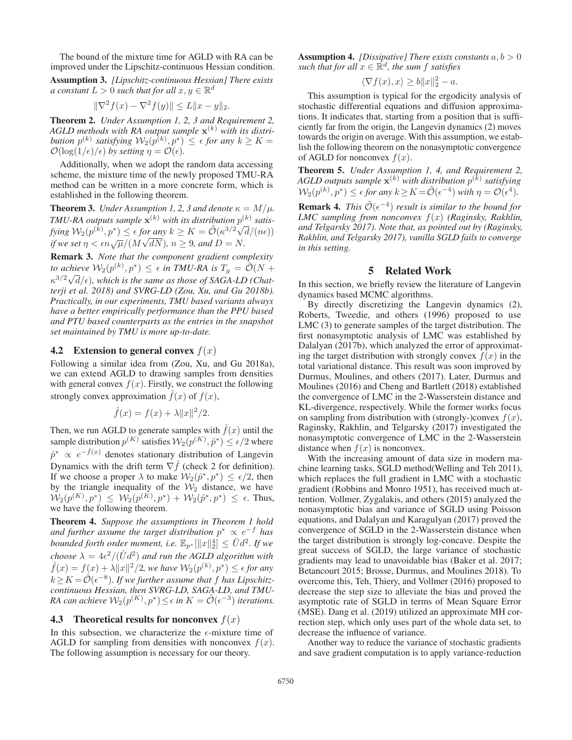The bound of the mixture time for AGLD with RA can be improved under the Lipschitz-continuous Hessian condition.

Assumption 3. *[Lipschitz-continuous Hessian] There exists a constant*  $L > 0$  *such that for all*  $x, y \in \mathbb{R}^d$ 

$$
\|\nabla^2 f(x) - \nabla^2 f(y)\| \le L \|x - y\|_2.
$$

Theorem 2. *Under Assumption 1, 2, 3 and Requirement 2, AGLD methods with RA output sample* **x**(k) *with its distribution*  $p^{(k)}$  *satisfying*  $W_2(p^{(k)}, p^*) \leq \epsilon$  *for any*  $k \geq K = \mathcal{O}(\log(1/\epsilon)/\epsilon)$  *by setting*  $n = \mathcal{O}(\epsilon)$  $\mathcal{O}(\log(1/\epsilon)/\epsilon)$  by setting  $\eta = \mathcal{O}(\epsilon)$ .

Additionally, when we adopt the random data accessing scheme, the mixture time of the newly proposed TMU-RA method can be written in a more concrete form, which is established in the following theorem.

**Theorem 3.** *Under Assumption 1, 2, 3 and denote*  $\kappa = M/\mu$ *. TMU-RA outputs sample*  $\mathbf{x}^{(k)}$  *with its distribution*  $p^{(k)}$  *satisfying*  $W_2(p^{(k)}, p^*) \le \epsilon$  *for any*  $k \ge K = \tilde{\mathcal{O}}(\kappa^{3/2} \sqrt{d}/(n\epsilon))$ <br>*if we set*  $n \le \epsilon n$   $\sqrt{\mu} / (M_2 \sqrt{dN})$ ,  $n > 0$ , and  $D = N$ *if we set*  $\eta < \epsilon n \sqrt{\mu}/(M\sqrt{dN})$ ,  $n \ge 9$ , and  $D = N$ .<br> **P** we set  $\eta < \epsilon n \sqrt{\mu}/(M\sqrt{dN})$ ,  $n \ge 9$ , and  $D = N$ .

Remark 3. *Note that the component gradient complexity to achieve*  $W_2(p^{(k)}, p^*) \le \epsilon$  *in TMU-RA is*  $T_g = \widetilde{\mathcal{O}}(N + \frac{1}{\epsilon^2})$  which is the same as these of SACA LD (Chat.  $\kappa^{3/2}\sqrt{d}/\epsilon$ ), which is the same as those of SAGA-LD (Chat-<br>terii et al. 2018) and SVRG-LD (Zou. Xu, and Gu 2018b) *terji et al. 2018) and SVRG-LD (Zou, Xu, and Gu 2018b). Practically, in our experiments, TMU based variants always have a better empirically performance than the PPU based and PTU based counterparts as the entries in the snapshot set maintained by TMU is more up-to-date.*

#### 4.2 Extension to general convex  $f(x)$

Following a similar idea from (Zou, Xu, and Gu 2018a), we can extend AGLD to drawing samples from densities with general convex  $f(x)$ . Firstly, we construct the following strongly convex approximation  $\hat{f}(x)$  of  $f(x)$ ,

$$
\hat{f}(x) = f(x) + \lambda ||x||^2 / 2.
$$

Then, we run AGLD to generate samples with  $f(x)$  until the sample distribution  $p^{(K)}$  satisfies  $\mathcal{W}_2(p^{(K)}, \hat{p}^*) \leq \epsilon/2$  where  $\hat{p}^* \propto e^{-\hat{f}(x)}$  denotes stationary distribution of Langevin<br>Dynamics with the drift term  $\nabla \hat{f}$  (check 2 for definition) Dynamics with the drift term  $\nabla \hat{f}$  (check 2 for definition). If we choose a proper  $\lambda$  to make  $W_2(\hat{p}^*, p^*) \leq \epsilon/2$ , then by the triangle inequality of the  $W_2$  distance, we have  $\mathcal{W}_2(p^{(K)}, p^*) \leq \mathcal{W}_2(p^{(K)}, p^*) + \mathcal{W}_2(p^*, p^*) \leq \epsilon$ . Thus, we have the following theorem we have the following theorem.

Theorem 4. *Suppose the assumptions in Theorem 1 hold and further assume the target distribution* p<sup>∗</sup> ∝ e<sup>−</sup><sup>f</sup> *has bounded forth order moment, i.e.*  $\mathbb{E}_{p^*}[\Vert x \Vert_2^4] \leq \hat{U}d^2$ . If we above  $\lambda = \frac{4c^2}{(\hat{U}d^2)}$  and win the  $\Lambda GL$  algorithm with *choose*  $\lambda = 4\epsilon^2/(\hat{U}d^2)$  *and run the AGLD algorithm with*  $\hat{f}(x) = f(x) + \lambda ||x||^2/2$ , we have  $\mathcal{W}_2(p^{(k)}, p^*) \leq \epsilon$  for any<br> $k > K - \tilde{\mathcal{O}}(c^{-8})$ . If we further assume that f has Lingghitz  $k \geq K = \tilde{\mathcal{O}}(\epsilon^{-8})$ . If we further assume that f has Lipschitz*continuous Hessian, then SVRG-LD, SAGA-LD, and TMU-RA can achieve*  $\mathcal{W}_2(p^{(K)}, p^*) \leq \epsilon$  *in*  $K = \tilde{\mathcal{O}}(\epsilon^{-3})$  *iterations.* 

## 4.3 Theoretical results for nonconvex  $f(x)$

In this subsection, we characterize the  $\epsilon$ -mixture time of AGLD for sampling from densities with nonconvex  $f(x)$ . The following assumption is necessary for our theory.

**Assumption 4.** *[Dissipative] There exists constants*  $a, b > 0$ *such that for all*  $x \in \mathbb{R}^d$ *, the sum f satisfies* 

$$
\langle \nabla f(x), x \rangle \ge b \|x\|_2^2 - a.
$$

 $\langle \nabla f(x), x \rangle \ge b \|x\|_2^2 - a.$ <br>This assumption is typical for the ergodicity analysis of stochastic differential equations and diffusion approximations. It indicates that, starting from a position that is sufficiently far from the origin, the Langevin dynamics (2) moves towards the origin on average. With this assumption, we establish the following theorem on the nonasymptotic convergence of AGLD for nonconvex  $f(x)$ .

Theorem 5. *Under Assumption 1, 4, and Requirement 2, AGLD outputs sample* **x**(k) *with distribution* p(k) *satisfying*  $\mathcal{W}_2(p^{(k)}, p^*) \leq \epsilon \text{ for any } k \geq K = \tilde{\mathcal{O}}(\epsilon^{-4}) \text{ with } \eta = \mathcal{O}(\epsilon^4).$ 

**Remark 4.** *This*  $\mathcal{O}(\epsilon^{-4})$  *result is similar to the bound for LMC sampling from nonconvex* <sup>f</sup>(x) *(Raginsky, Rakhlin, and Telgarsky 2017). Note that, as pointed out by (Raginsky, Rakhlin, and Telgarsky 2017), vanilla SGLD fails to converge in this setting.*

## 5 Related Work

In this section, we briefly review the literature of Langevin dynamics based MCMC algorithms.

By directly discretizing the Langevin dynamics (2), Roberts, Tweedie, and others (1996) proposed to use LMC (3) to generate samples of the target distribution. The first nonasymptotic analysis of LMC was established by Dalalyan (2017b), which analyzed the error of approximating the target distribution with strongly convex  $f(x)$  in the total variational distance. This result was soon improved by Durmus, Moulines, and others (2017). Later, Durmus and Moulines (2016) and Cheng and Bartlett (2018) established the convergence of LMC in the 2-Wasserstein distance and KL-divergence, respectively. While the former works focus on sampling from distribution with (strongly-)convex  $f(x)$ , Raginsky, Rakhlin, and Telgarsky (2017) investigated the nonasymptotic convergence of LMC in the 2-Wasserstein distance when  $f(x)$  is nonconvex.

With the increasing amount of data size in modern machine learning tasks, SGLD method(Welling and Teh 2011), which replaces the full gradient in LMC with a stochastic gradient (Robbins and Monro 1951), has received much attention. Vollmer, Zygalakis, and others (2015) analyzed the nonasymptotic bias and variance of SGLD using Poisson equations, and Dalalyan and Karagulyan (2017) proved the convergence of SGLD in the 2-Wasserstein distance when the target distribution is strongly log-concave. Despite the great success of SGLD, the large variance of stochastic gradients may lead to unavoidable bias (Baker et al. 2017; Betancourt 2015; Brosse, Durmus, and Moulines 2018). To overcome this, Teh, Thiery, and Vollmer (2016) proposed to decrease the step size to alleviate the bias and proved the asymptotic rate of SGLD in terms of Mean Square Error (MSE). Dang et al. (2019) utilized an approximate MH correction step, which only uses part of the whole data set, to decrease the influence of variance.

Another way to reduce the variance of stochastic gradients and save gradient computation is to apply variance-reduction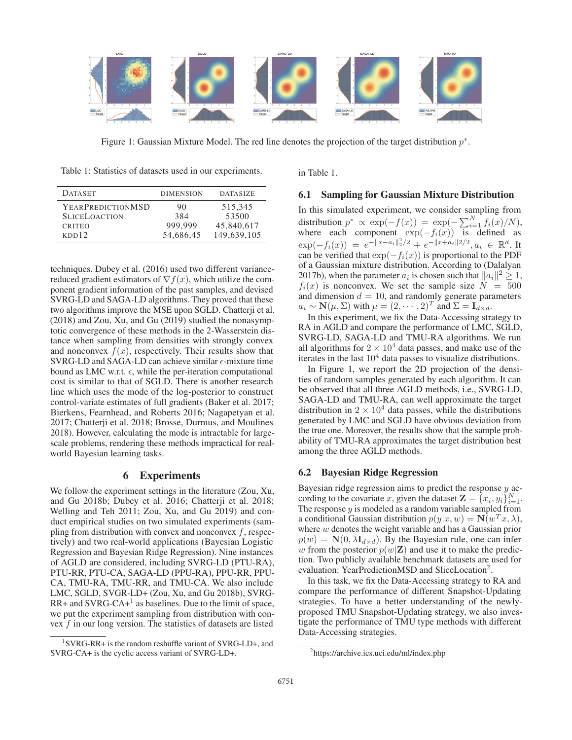

Figure 1: Gaussian Mixture Model. The red line denotes the projection of the target distribution  $p^*$ .

Table 1: Statistics of datasets used in our experiments.

| <b>DATASET</b>                        | <b>DIMENSION</b> | <b>DATASIZE</b>     |
|---------------------------------------|------------------|---------------------|
| <b>YEARPREDICTIONMSD</b>              | 90               | 515,345             |
| <b>SLICELOACTION</b><br><b>CRITEO</b> | 384<br>999.999   | 53500<br>45,840,617 |
| KDD12                                 | 54,686,45        | 149,639,105         |

techniques. Dubey et al. (2016) used two different variancereduced gradient estimators of  $\nabla f(x)$ , which utilize the component gradient information of the past samples, and devised SVRG-LD and SAGA-LD algorithms. They proved that these two algorithms improve the MSE upon SGLD. Chatterji et al. (2018) and Zou, Xu, and Gu (2019) studied the nonasymptotic convergence of these methods in the 2-Wasserstein distance when sampling from densities with strongly convex and nonconvex  $f(x)$ , respectively. Their results show that SVRG-LD and SAGA-LD can achieve similar  $\epsilon$ -mixture time bound as LMC w.r.t.  $\epsilon$ , while the per-iteration computational cost is similar to that of SGLD. There is another research line which uses the mode of the log-posterior to construct control-variate estimates of full gradients (Baker et al. 2017; Bierkens, Fearnhead, and Roberts 2016; Nagapetyan et al. 2017; Chatterji et al. 2018; Brosse, Durmus, and Moulines 2018). However, calculating the mode is intractable for largescale problems, rendering these methods impractical for realworld Bayesian learning tasks.

## 6 Experiments

We follow the experiment settings in the literature (Zou, Xu, and Gu 2018b; Dubey et al. 2016; Chatterji et al. 2018; Welling and Teh 2011; Zou, Xu, and Gu 2019) and conduct empirical studies on two simulated experiments (sampling from distribution with convex and nonconvex  $f$ , respectively) and two real-world applications (Bayesian Logistic Regression and Bayesian Ridge Regression). Nine instances of AGLD are considered, including SVRG-LD (PTU-RA), PTU-RR, PTU-CA, SAGA-LD (PPU-RA), PPU-RR, PPU-CA, TMU-RA, TMU-RR, and TMU-CA. We also include LMC, SGLD, SVGR-LD+ (Zou, Xu, and Gu 2018b), SVRG- $RR+$  and SVRG-CA+<sup>1</sup> as baselines. Due to the limit of space, we put the experiment sampling from distribution with convex f in our long version. The statistics of datasets are listed

in Table 1.

#### 6.1 Sampling for Gaussian Mixture Distribution

In this simulated experiment, we consider sampling from distribution  $p^* \propto \exp(-f(x)) = \exp(-\sum_{i=1}^{N} f_i(x)/N)$ ,<br>where each component  $\exp(-f_i(x))$  is defined as where each component  $\exp(-f_i(x))$  is defined as<br> $\exp(-f_i(x)) = e^{-\|x-a_i\|^2/2} + e^{-\|x+a_i\|^2/2}$  $\exp(-f_i(x)) = e^{-\|x-a_i\|^2/2} + e^{-\|x+a_i\|^2/2}, a_i \in \mathbb{R}^d$ . It can be verified that  $\exp(-f_i(x))$  is proportional to the PDF can be verified that  $exp(-f_i(x))$  is proportional to the PDF of a Gaussian mixture distribution. According to (Dalalyan 2017b), when the parameter  $a_i$  is chosen such that  $||a_i||^2 \geq 1$ ,  $f_i(x)$  is nonconvex. We set the sample size  $N = 500$ and dimension  $d = 10$ , and randomly generate parameters  $a_i \sim \mathbf{N}(\mu, \Sigma)$  with  $\mu = (2, \cdots, 2)^T$  and  $\Sigma = \mathbf{I}_{d \times d}$ .

In this experiment, we fix the Data-Accessing strategy to RA in AGLD and compare the performance of LMC, SGLD, SVRG-LD, SAGA-LD and TMU-RA algorithms. We run all algorithms for  $2 \times 10^4$  data passes, and make use of the iterates in the last  $10<sup>4</sup>$  data passes to visualize distributions.

In Figure 1, we report the 2D projection of the densities of random samples generated by each algorithm. It can be observed that all three AGLD methods, i.e., SVRG-LD, SAGA-LD and TMU-RA, can well approximate the target distribution in  $2 \times 10^4$  data passes, while the distributions generated by LMC and SGLD have obvious deviation from the true one. Moreover, the results show that the sample probability of TMU-RA approximates the target distribution best among the three AGLD methods.

## 6.2 Bayesian Ridge Regression

Bayesian ridge regression aims to predict the response  $y$  according to the covariate x, given the dataset  $\mathbf{Z} = \{x_i, y_i\}_{i=1}^N$ .<br>The response y is modeled as a random variable sampled from The response  $y$  is modeled as a random variable sampled from a conditional Gaussian distribution  $p(y|x, w) = \mathbf{N}(w^T x, \lambda)$ , where  $w$  denotes the weight variable and has a Gaussian prior  $p(w) = \mathbf{N}(0, \lambda \mathbf{I}_{d \times d})$ . By the Bayesian rule, one can infer w from the posterior  $p(w|\mathbf{Z})$  and use it to make the prediction. Two publicly available benchmark datasets are used for evaluation: YearPredictionMSD and SliceLocation<sup>2</sup>.

In this task, we fix the Data-Accessing strategy to RA and compare the performance of different Snapshot-Updating strategies. To have a better understanding of the newlyproposed TMU Snapshot-Updating strategy, we also investigate the performance of TMU type methods with different Data-Accessing strategies.

<sup>1</sup> SVRG-RR+ is the random reshuffle variant of SVRG-LD+, and SVRG-CA+ is the cyclic access variant of SVRG-LD+.

<sup>2</sup> https://archive.ics.uci.edu/ml/index.php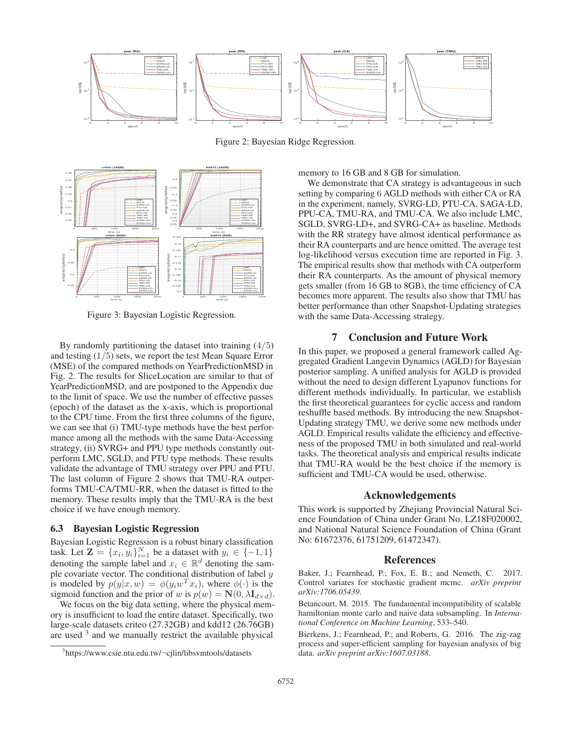

Figure 2: Bayesian Ridge Regression.



Figure 3: Bayesian Logistic Regression.

By randomly partitioning the dataset into training  $(4/5)$ and testing  $(1/5)$  sets, we report the test Mean Square Error (MSE) of the compared methods on YearPredictionMSD in Fig. 2. The results for SliceLocation are similar to that of YearPredictionMSD, and are postponed to the Appendix due to the limit of space. We use the number of effective passes (epoch) of the dataset as the x-axis, which is proportional to the CPU time. From the first three columns of the figure, we can see that (i) TMU-type methods have the best performance among all the methods with the same Data-Accessing strategy, (ii) SVRG+ and PPU type methods constantly outperform LMC, SGLD, and PTU type methods. These results validate the advantage of TMU strategy over PPU and PTU. The last column of Figure 2 shows that TMU-RA outperforms TMU-CA/TMU-RR, when the dataset is fitted to the memory. These results imply that the TMU-RA is the best choice if we have enough memory.

## 6.3 Bayesian Logistic Regression

Bayesian Logistic Regression is a robust binary classification task. Let  $\mathbf{Z} = \{x_i, y_i\}_{i=1}^N$  be a dataset with  $y_i \in \{-1, 1\}$ <br>denoting the sample label and  $x_i \in \mathbb{R}^d$  denoting the samdenoting the sample label and  $x_i \in \mathbb{R}^d$  denoting the sample covariate vector. The conditional distribution of label  $y$ is modeled by  $p(y|x, w) = \phi(y_i w^T x_i)$ , where  $\phi(\cdot)$  is the sigmoid function and the prior of w is  $p(w) = \mathbf{N}(0, \lambda \mathbf{I}_{d \times d})$ .

We focus on the big data setting, where the physical memory is insufficient to load the entire dataset. Specifically, two large-scale datasets criteo (27.32GB) and kdd12 (26.76GB) are used <sup>3</sup> and we manually restrict the available physical

memory to 16 GB and 8 GB for simulation.

We demonstrate that CA strategy is advantageous in such setting by comparing 6 AGLD methods with either CA or RA in the experiment, namely, SVRG-LD, PTU-CA, SAGA-LD, PPU-CA, TMU-RA, and TMU-CA. We also include LMC, SGLD, SVRG-LD+, and SVRG-CA+ as baseline. Methods with the RR strategy have almost identical performance as their RA counterparts and are hence omitted. The average test log-likelihood versus execution time are reported in Fig. 3. The empirical results show that methods with CA outperform their RA counterparts. As the amount of physical memory gets smaller (from 16 GB to 8GB), the time efficiency of CA becomes more apparent. The results also show that TMU has better performance than other Snapshot-Updating strategies with the same Data-Accessing strategy.

#### 7 Conclusion and Future Work

In this paper, we proposed a general framework called Aggregated Gradient Langevin Dynamics (AGLD) for Bayesian posterior sampling. A unified analysis for AGLD is provided without the need to design different Lyapunov functions for different methods individually. In particular, we establish the first theoretical guarantees for cyclic access and random reshuffle based methods. By introducing the new Snapshot-Updating strategy TMU, we derive some new methods under AGLD. Empirical results validate the efficiency and effectiveness of the proposed TMU in both simulated and real-world tasks. The theoretical analysis and empirical results indicate that TMU-RA would be the best choice if the memory is sufficient and TMU-CA would be used, otherwise.

#### Acknowledgements

This work is supported by Zhejiang Provincial Natural Science Foundation of China under Grant No. LZ18F020002, and National Natural Science Foundation of China (Grant No: 61672376, 61751209, 61472347).

## References

Baker, J.; Fearnhead, P.; Fox, E. B.; and Nemeth, C. 2017. Control variates for stochastic gradient mcmc. *arXiv preprint arXiv:1706.05439*.

Betancourt, M. 2015. The fundamental incompatibility of scalable hamiltonian monte carlo and naive data subsampling. In *International Conference on Machine Learning*, 533–540.

Bierkens, J.; Fearnhead, P.; and Roberts, G. 2016. The zig-zag process and super-efficient sampling for bayesian analysis of big data. *arXiv preprint arXiv:1607.03188*.

<sup>3</sup> https://www.csie.ntu.edu.tw/∼cjlin/libsvmtools/datasets